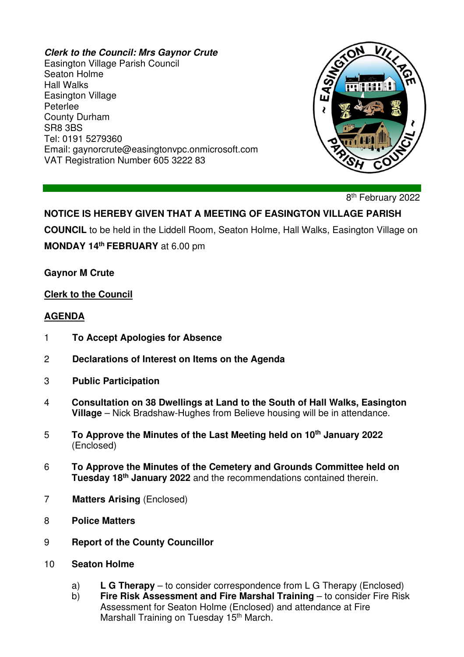#### **Clerk to the Council: Mrs Gaynor Crute**

Easington Village Parish Council Seaton Holme Hall Walks Easington Village Peterlee County Durham SR8 3BS Tel: 0191 5279360 Email: gaynorcrute@easingtonvpc.onmicrosoft.com VAT Registration Number 605 3222 83



8<sup>th</sup> February 2022

# **NOTICE IS HEREBY GIVEN THAT A MEETING OF EASINGTON VILLAGE PARISH**

**COUNCIL** to be held in the Liddell Room, Seaton Holme, Hall Walks, Easington Village on **MONDAY 14th FEBRUARY** at 6.00 pm

**Gaynor M Crute** 

#### **Clerk to the Council**

#### **AGENDA**

- 1 **To Accept Apologies for Absence**
- 2 **Declarations of Interest on Items on the Agenda**
- 3 **Public Participation**
- 4 **Consultation on 38 Dwellings at Land to the South of Hall Walks, Easington Village** – Nick Bradshaw-Hughes from Believe housing will be in attendance.
- 5 **To Approve the Minutes of the Last Meeting held on 10th January 2022** (Enclosed)
- 6 **To Approve the Minutes of the Cemetery and Grounds Committee held on Tuesday 18th January 2022** and the recommendations contained therein.
- 7 **Matters Arising** (Enclosed)
- 8 **Police Matters**
- 9 **Report of the County Councillor**
- 10 **Seaton Holme** 
	- a) **L G Therapy** to consider correspondence from L G Therapy (Enclosed)
	- b) **Fire Risk Assessment and Fire Marshal Training** to consider Fire Risk Assessment for Seaton Holme (Enclosed) and attendance at Fire Marshall Training on Tuesday 15<sup>th</sup> March.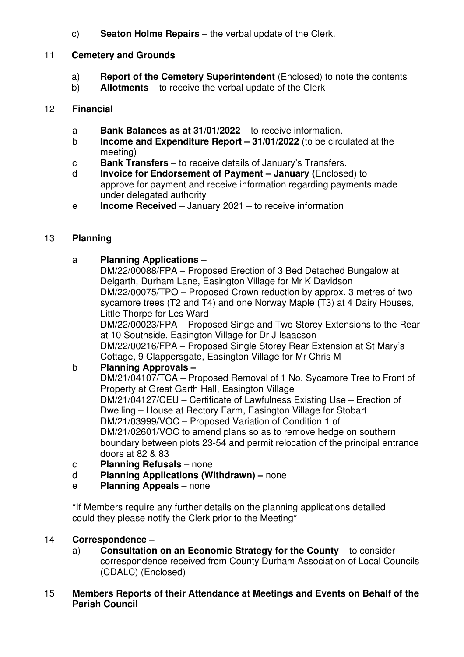c) **Seaton Holme Repairs** – the verbal update of the Clerk.

## 11 **Cemetery and Grounds**

- a) **Report of the Cemetery Superintendent** (Enclosed) to note the contents
- b) **Allotments** to receive the verbal update of the Clerk

#### 12 **Financial**

- a **Bank Balances as at 31/01/2022** to receive information.
- b **Income and Expenditure Report 31/01/2022** (to be circulated at the meeting)
- c **Bank Transfers** to receive details of January's Transfers.
- d **Invoice for Endorsement of Payment January (**Enclosed) to approve for payment and receive information regarding payments made under delegated authority
- e **Income Received** January 2021 to receive information

# 13 **Planning**

## a **Planning Applications** –

 DM/22/00088/FPA – Proposed Erection of 3 Bed Detached Bungalow at Delgarth, Durham Lane, Easington Village for Mr K Davidson DM/22/00075/TPO – Proposed Crown reduction by approx. 3 metres of two sycamore trees (T2 and T4) and one Norway Maple (T3) at 4 Dairy Houses, Little Thorpe for Les Ward

 DM/22/00023/FPA – Proposed Singe and Two Storey Extensions to the Rear at 10 Southside, Easington Village for Dr J Isaacson

 DM/22/00216/FPA – Proposed Single Storey Rear Extension at St Mary's Cottage, 9 Clappersgate, Easington Village for Mr Chris M

# b **Planning Approvals –**

 DM/21/04107/TCA – Proposed Removal of 1 No. Sycamore Tree to Front of Property at Great Garth Hall, Easington Village DM/21/04127/CEU – Certificate of Lawfulness Existing Use – Erection of Dwelling – House at Rectory Farm, Easington Village for Stobart DM/21/03999/VOC – Proposed Variation of Condition 1 of DM/21/02601/VOC to amend plans so as to remove hedge on southern boundary between plots 23-54 and permit relocation of the principal entrance doors at 82 & 83

- c **Planning Refusals** none
- d **Planning Applications (Withdrawn)** none
- e **Planning Appeals** none

\*If Members require any further details on the planning applications detailed could they please notify the Clerk prior to the Meeting\*

# 14 **Correspondence –**

 a) **Consultation on an Economic Strategy for the County** – to consider correspondence received from County Durham Association of Local Councils (CDALC) (Enclosed)

#### 15 **Members Reports of their Attendance at Meetings and Events on Behalf of the Parish Council**